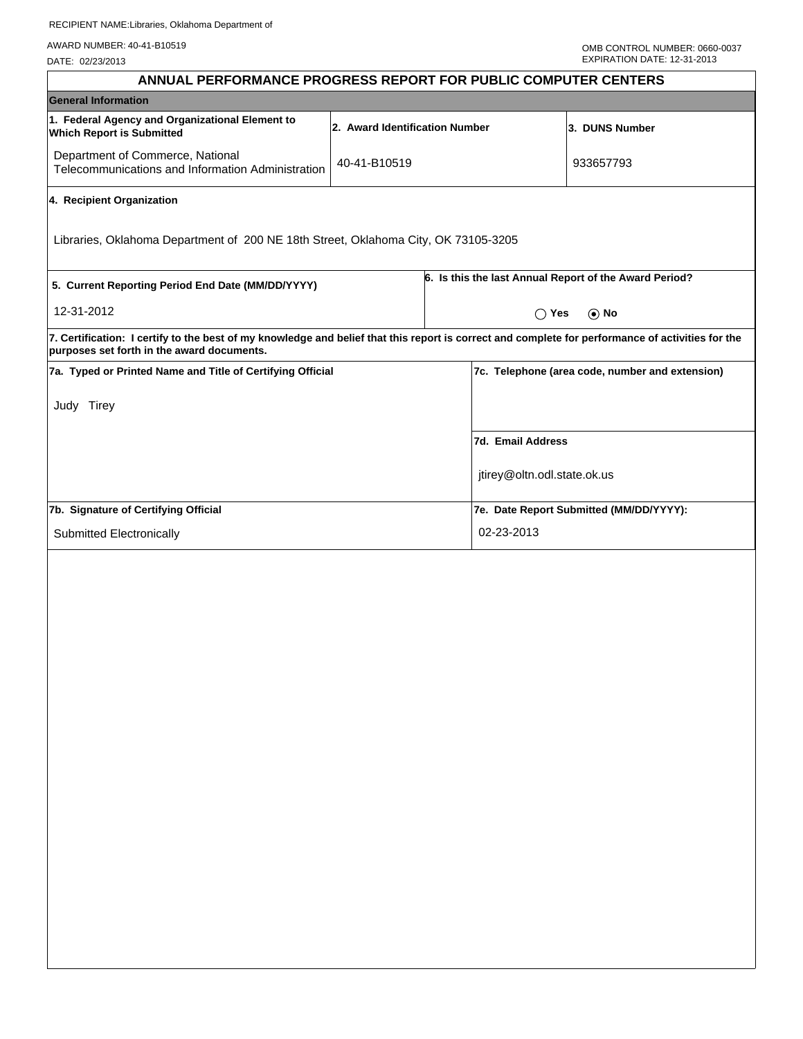AWARD NUMBER: 40-41-B10519

DATE: 02/23/2013

| ANNUAL PERFORMANCE PROGRESS REPORT FOR PUBLIC COMPUTER CENTERS                                                                                                                                  |                                |                             |                                                        |  |  |  |
|-------------------------------------------------------------------------------------------------------------------------------------------------------------------------------------------------|--------------------------------|-----------------------------|--------------------------------------------------------|--|--|--|
| <b>General Information</b>                                                                                                                                                                      |                                |                             |                                                        |  |  |  |
| 1. Federal Agency and Organizational Element to<br><b>Which Report is Submitted</b>                                                                                                             | 2. Award Identification Number |                             | 3. DUNS Number                                         |  |  |  |
| Department of Commerce, National<br>Telecommunications and Information Administration                                                                                                           | 40-41-B10519                   |                             | 933657793                                              |  |  |  |
| 4. Recipient Organization                                                                                                                                                                       |                                |                             |                                                        |  |  |  |
| Libraries, Oklahoma Department of 200 NE 18th Street, Oklahoma City, OK 73105-3205                                                                                                              |                                |                             |                                                        |  |  |  |
| 5. Current Reporting Period End Date (MM/DD/YYYY)                                                                                                                                               |                                |                             | 6. Is this the last Annual Report of the Award Period? |  |  |  |
| 12-31-2012                                                                                                                                                                                      |                                | $\cap$ Yes<br>$\odot$ No    |                                                        |  |  |  |
| 7. Certification: I certify to the best of my knowledge and belief that this report is correct and complete for performance of activities for the<br>purposes set forth in the award documents. |                                |                             |                                                        |  |  |  |
| 7a. Typed or Printed Name and Title of Certifying Official                                                                                                                                      |                                |                             | 7c. Telephone (area code, number and extension)        |  |  |  |
| Judy Tirey                                                                                                                                                                                      |                                |                             |                                                        |  |  |  |
|                                                                                                                                                                                                 |                                | 7d. Email Address           |                                                        |  |  |  |
|                                                                                                                                                                                                 |                                | jtirey@oltn.odl.state.ok.us |                                                        |  |  |  |
| 7b. Signature of Certifying Official                                                                                                                                                            |                                |                             | 7e. Date Report Submitted (MM/DD/YYYY):                |  |  |  |
| Submitted Electronically                                                                                                                                                                        |                                | 02-23-2013                  |                                                        |  |  |  |
|                                                                                                                                                                                                 |                                |                             |                                                        |  |  |  |
|                                                                                                                                                                                                 |                                |                             |                                                        |  |  |  |
|                                                                                                                                                                                                 |                                |                             |                                                        |  |  |  |
|                                                                                                                                                                                                 |                                |                             |                                                        |  |  |  |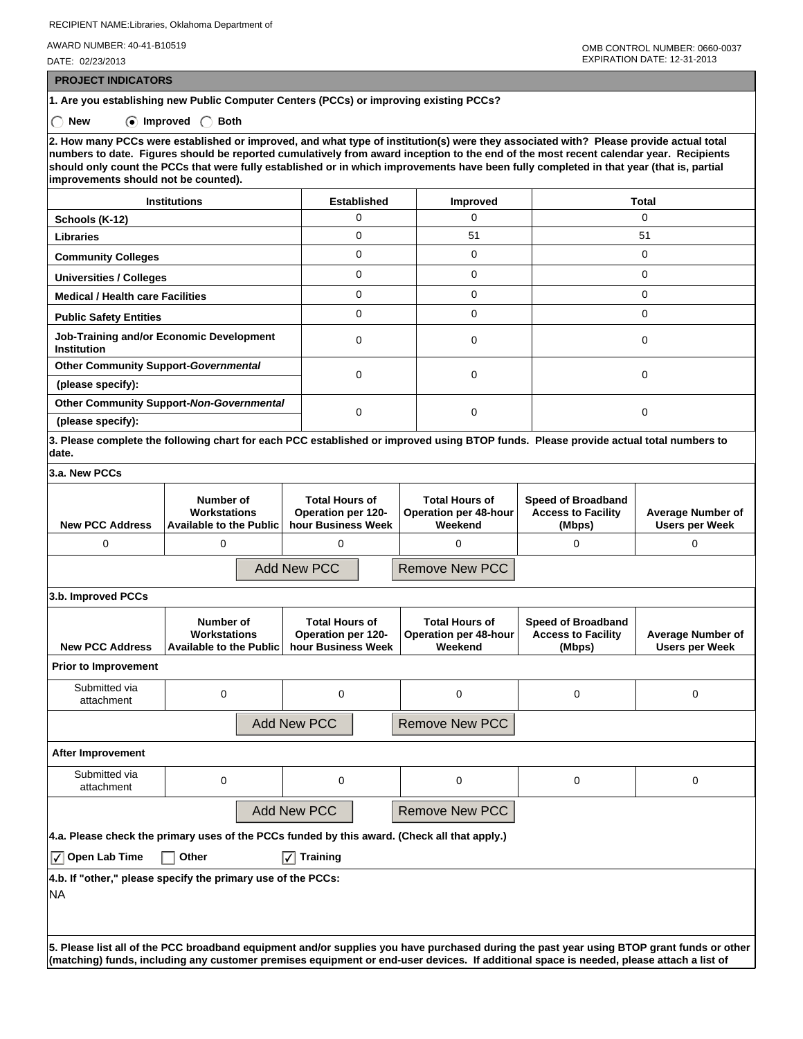RECIPIENT NAME:Libraries, Oklahoma Department of

AWARD NUMBER: 40-41-B10519

DATE: 02/23/2013

 **PROJECT INDICATORS**

**1. Are you establishing new Public Computer Centers (PCCs) or improving existing PCCs?**

 **New Improved Both**

**2. How many PCCs were established or improved, and what type of institution(s) were they associated with? Please provide actual total numbers to date. Figures should be reported cumulatively from award inception to the end of the most recent calendar year. Recipients should only count the PCCs that were fully established or in which improvements have been fully completed in that year (that is, partial improvements should not be counted).**

| <b>Institutions</b>                                            | <b>Established</b> | <b>Improved</b> | Total |  |
|----------------------------------------------------------------|--------------------|-----------------|-------|--|
| Schools (K-12)                                                 |                    |                 |       |  |
| <b>Libraries</b>                                               | 0                  | 51              | 51    |  |
| <b>Community Colleges</b>                                      | 0                  | 0               | 0     |  |
| <b>Universities / Colleges</b>                                 | 0                  | 0               | O     |  |
| <b>Medical / Health care Facilities</b>                        | 0                  | $\Omega$        | C     |  |
| <b>Public Safety Entities</b>                                  | 0                  | $\Omega$        |       |  |
| Job-Training and/or Economic Development<br><b>Institution</b> | 0                  | $\Omega$        |       |  |
| <b>Other Community Support-Governmental</b>                    | 0                  | $\Omega$        |       |  |
| (please specify):                                              |                    |                 |       |  |
| <b>Other Community Support-Non-Governmental</b>                |                    | $\Omega$        |       |  |
| (please specify):                                              |                    |                 |       |  |

**3. Please complete the following chart for each PCC established or improved using BTOP funds. Please provide actual total numbers to date.**

| 3.a. New PCCs          |                                                                    |                                                                   |                                                           |                                                                  |                                                   |  |  |
|------------------------|--------------------------------------------------------------------|-------------------------------------------------------------------|-----------------------------------------------------------|------------------------------------------------------------------|---------------------------------------------------|--|--|
| <b>New PCC Address</b> | Number of<br><b>Workstations</b><br><b>Available to the Public</b> | <b>Total Hours of</b><br>Operation per 120-<br>hour Business Week | <b>Total Hours of</b><br>Operation per 48-hour<br>Weekend | <b>Speed of Broadband</b><br><b>Access to Facility</b><br>(Mbps) | <b>Average Number of</b><br><b>Users per Week</b> |  |  |
| 0                      |                                                                    |                                                                   |                                                           |                                                                  |                                                   |  |  |
|                        |                                                                    | Add New PCC                                                       | <b>Remove New PCC</b>                                     |                                                                  |                                                   |  |  |
| $ 3 h $ Improved PCCs  |                                                                    |                                                                   |                                                           |                                                                  |                                                   |  |  |

| <b>New PCC Address</b>               | Number of<br>Workstations<br><b>Available to the Public</b>  | <b>Total Hours of</b><br><b>Operation per 120-</b><br>hour Business Week                     | <b>Total Hours of</b><br><b>Operation per 48-hour</b><br>Weekend | Speed of Broadband<br><b>Access to Facility</b><br>(Mbps)                                                                                   | <b>Average Number of</b><br><b>Users per Week</b> |  |  |
|--------------------------------------|--------------------------------------------------------------|----------------------------------------------------------------------------------------------|------------------------------------------------------------------|---------------------------------------------------------------------------------------------------------------------------------------------|---------------------------------------------------|--|--|
| <b>Prior to Improvement</b>          |                                                              |                                                                                              |                                                                  |                                                                                                                                             |                                                   |  |  |
| Submitted via<br>attachment          | $\Omega$                                                     | $\Omega$                                                                                     | 0                                                                | 0                                                                                                                                           | 0                                                 |  |  |
| Add New PCC<br><b>Remove New PCC</b> |                                                              |                                                                                              |                                                                  |                                                                                                                                             |                                                   |  |  |
| After Improvement                    |                                                              |                                                                                              |                                                                  |                                                                                                                                             |                                                   |  |  |
| Submitted via<br>attachment          | $\Omega$                                                     | $\mathbf 0$                                                                                  | $\Omega$                                                         | 0                                                                                                                                           | 0                                                 |  |  |
|                                      |                                                              | Add New PCC                                                                                  | <b>Remove New PCC</b>                                            |                                                                                                                                             |                                                   |  |  |
|                                      |                                                              | 4.a. Please check the primary uses of the PCCs funded by this award. (Check all that apply.) |                                                                  |                                                                                                                                             |                                                   |  |  |
| $ \sqrt{ } $ Open Lab Time           | Other                                                        | <b>Training</b><br>$ \checkmark $                                                            |                                                                  |                                                                                                                                             |                                                   |  |  |
|                                      | 4.b. If "other," please specify the primary use of the PCCs: |                                                                                              |                                                                  |                                                                                                                                             |                                                   |  |  |
| NA                                   |                                                              |                                                                                              |                                                                  |                                                                                                                                             |                                                   |  |  |
|                                      |                                                              |                                                                                              |                                                                  |                                                                                                                                             |                                                   |  |  |
|                                      |                                                              |                                                                                              |                                                                  | $\,$ Please list all of the PCC broadband equinment and/or sunnlies you have purchased during the past year using BTOP grant funds or other |                                                   |  |  |

**5. Please list all of the PCC broadband equipment and/or supplies you have purchased during the past year using BTOP grant funds or other (matching) funds, including any customer premises equipment or end-user devices. If additional space is needed, please attach a list of**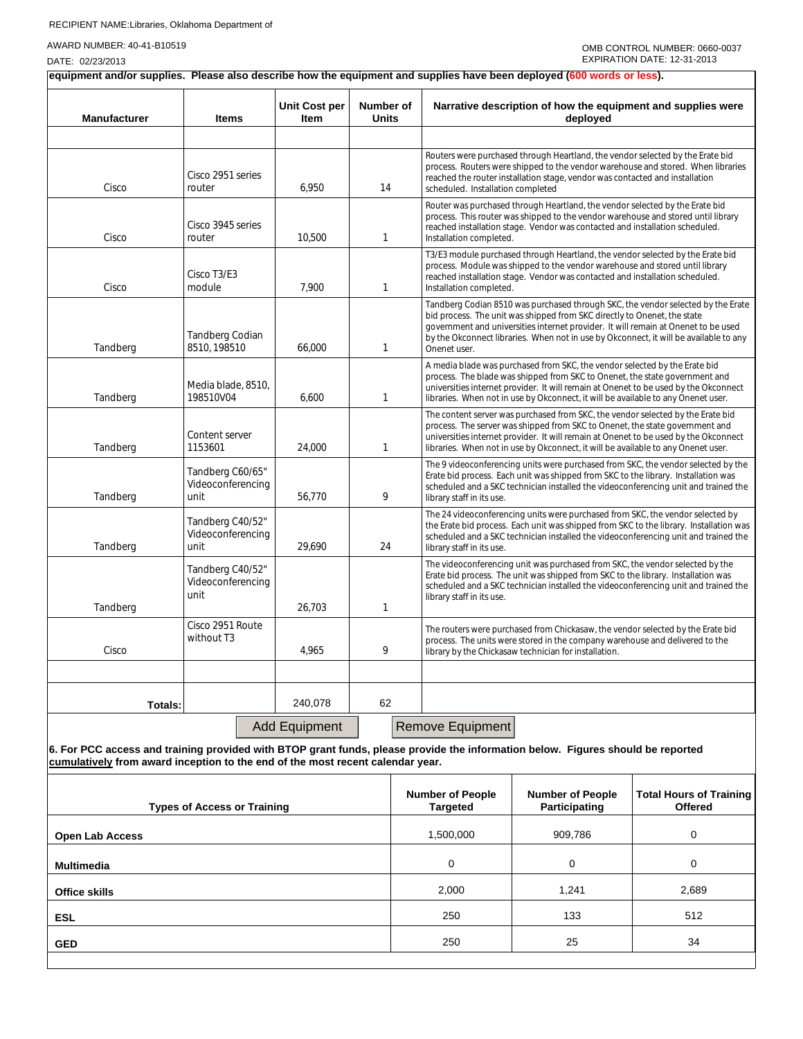DATE: 02/23/2013

**equipment and/or supplies. Please also describe how the equipment and supplies have been deployed (600 words or less).**

| <b>Manufacturer</b>                                                                                                                                                                                               | <b>Items</b>                                  | Unit Cost per<br>Item | Number of<br><b>Units</b> |                                            | Narrative description of how the equipment and supplies were<br>deployed                                                                                                                                                                                                                                                                                    |                                                                                                                                                                                                                                                   |       |  |
|-------------------------------------------------------------------------------------------------------------------------------------------------------------------------------------------------------------------|-----------------------------------------------|-----------------------|---------------------------|--------------------------------------------|-------------------------------------------------------------------------------------------------------------------------------------------------------------------------------------------------------------------------------------------------------------------------------------------------------------------------------------------------------------|---------------------------------------------------------------------------------------------------------------------------------------------------------------------------------------------------------------------------------------------------|-------|--|
|                                                                                                                                                                                                                   |                                               |                       |                           |                                            |                                                                                                                                                                                                                                                                                                                                                             |                                                                                                                                                                                                                                                   |       |  |
| Cisco                                                                                                                                                                                                             | Cisco 2951 series<br>router                   | 6,950                 | 14                        |                                            | Routers were purchased through Heartland, the vendor selected by the Erate bid<br>process. Routers were shipped to the vendor warehouse and stored. When libraries<br>reached the router installation stage, vendor was contacted and installation<br>scheduled. Installation completed                                                                     |                                                                                                                                                                                                                                                   |       |  |
| Cisco                                                                                                                                                                                                             | Cisco 3945 series<br>router                   | 10,500                | 1                         |                                            | Installation completed.                                                                                                                                                                                                                                                                                                                                     | Router was purchased through Heartland, the vendor selected by the Erate bid<br>process. This router was shipped to the vendor warehouse and stored until library<br>reached installation stage. Vendor was contacted and installation scheduled. |       |  |
| Cisco                                                                                                                                                                                                             | Cisco T3/E3<br>module                         | 7,900                 | 1                         |                                            | T3/E3 module purchased through Heartland, the vendor selected by the Erate bid<br>process. Module was shipped to the vendor warehouse and stored until library<br>reached installation stage. Vendor was contacted and installation scheduled.<br>Installation completed.                                                                                   |                                                                                                                                                                                                                                                   |       |  |
| Tandberg                                                                                                                                                                                                          | <b>Tandberg Codian</b><br>8510, 198510        | 66,000                | 1                         |                                            | Tandberg Codian 8510 was purchased through SKC, the vendor selected by the Erate<br>bid process. The unit was shipped from SKC directly to Onenet, the state<br>government and universities internet provider. It will remain at Onenet to be used<br>by the Okconnect libraries. When not in use by Okconnect, it will be available to any<br>Onenet user. |                                                                                                                                                                                                                                                   |       |  |
| Tandberg                                                                                                                                                                                                          | Media blade, 8510,<br>198510V04               | 6,600                 | 1                         |                                            | A media blade was purchased from SKC, the vendor selected by the Erate bid<br>process. The blade was shipped from SKC to Onenet, the state government and<br>universities internet provider. It will remain at Onenet to be used by the Okconnect<br>libraries. When not in use by Okconnect, it will be available to any Onenet user.                      |                                                                                                                                                                                                                                                   |       |  |
| Tandberg                                                                                                                                                                                                          | Content server<br>1153601                     | 24,000                | 1                         |                                            | The content server was purchased from SKC, the vendor selected by the Erate bid<br>process. The server was shipped from SKC to Onenet, the state government and<br>universities internet provider. It will remain at Onenet to be used by the Okconnect<br>libraries. When not in use by Okconnect, it will be available to any Onenet user.                |                                                                                                                                                                                                                                                   |       |  |
| Tandberg                                                                                                                                                                                                          | Tandberg C60/65"<br>Videoconferencing<br>unit | 56,770                | 9                         |                                            | The 9 videoconferencing units were purchased from SKC, the vendor selected by the<br>Erate bid process. Each unit was shipped from SKC to the library. Installation was<br>scheduled and a SKC technician installed the videoconferencing unit and trained the<br>library staff in its use.                                                                 |                                                                                                                                                                                                                                                   |       |  |
| Tandberg                                                                                                                                                                                                          | Tandberg C40/52"<br>Videoconferencing<br>unit | 29,690                | 24                        |                                            | The 24 videoconferencing units were purchased from SKC, the vendor selected by<br>the Erate bid process. Each unit was shipped from SKC to the library. Installation was<br>scheduled and a SKC technician installed the videoconferencing unit and trained the<br>library staff in its use.                                                                |                                                                                                                                                                                                                                                   |       |  |
| Tandberg                                                                                                                                                                                                          | Tandberg C40/52"<br>Videoconferencing<br>unit | 26.703                | 1                         |                                            | The videoconferencing unit was purchased from SKC, the vendor selected by the<br>Erate bid process. The unit was shipped from SKC to the library. Installation was<br>scheduled and a SKC technician installed the videoconferencing unit and trained the<br>library staff in its use.                                                                      |                                                                                                                                                                                                                                                   |       |  |
| Cisco                                                                                                                                                                                                             | Cisco 2951 Route<br>without T3                | 4,965                 | 9                         |                                            | The routers were purchased from Chickasaw, the vendor selected by the Erate bid<br>process. The units were stored in the company warehouse and delivered to the<br>library by the Chickasaw technician for installation.                                                                                                                                    |                                                                                                                                                                                                                                                   |       |  |
|                                                                                                                                                                                                                   |                                               |                       |                           |                                            |                                                                                                                                                                                                                                                                                                                                                             |                                                                                                                                                                                                                                                   |       |  |
| Totals:                                                                                                                                                                                                           |                                               | 240.078               | 62                        |                                            |                                                                                                                                                                                                                                                                                                                                                             |                                                                                                                                                                                                                                                   |       |  |
|                                                                                                                                                                                                                   |                                               | <b>Add Equipment</b>  |                           |                                            | Remove Equipment                                                                                                                                                                                                                                                                                                                                            |                                                                                                                                                                                                                                                   |       |  |
| 6. For PCC access and training provided with BTOP grant funds, please provide the information below. Figures should be reported<br>cumulatively from award inception to the end of the most recent calendar year. |                                               |                       |                           |                                            |                                                                                                                                                                                                                                                                                                                                                             |                                                                                                                                                                                                                                                   |       |  |
| <b>Types of Access or Training</b>                                                                                                                                                                                |                                               |                       |                           | <b>Number of People</b><br><b>Targeted</b> | <b>Number of People</b><br>Participating                                                                                                                                                                                                                                                                                                                    | <b>Total Hours of Training</b><br><b>Offered</b>                                                                                                                                                                                                  |       |  |
| <b>Open Lab Access</b>                                                                                                                                                                                            |                                               |                       |                           | 1,500,000                                  | 909,786                                                                                                                                                                                                                                                                                                                                                     | 0                                                                                                                                                                                                                                                 |       |  |
| Multimedia                                                                                                                                                                                                        |                                               |                       | 0                         | 0                                          | 0                                                                                                                                                                                                                                                                                                                                                           |                                                                                                                                                                                                                                                   |       |  |
| <b>Office skills</b>                                                                                                                                                                                              |                                               |                       |                           |                                            | 2,000                                                                                                                                                                                                                                                                                                                                                       | 1,241                                                                                                                                                                                                                                             | 2,689 |  |
| <b>ESL</b>                                                                                                                                                                                                        |                                               |                       |                           | 250                                        | 133                                                                                                                                                                                                                                                                                                                                                         | 512                                                                                                                                                                                                                                               |       |  |
| <b>GED</b>                                                                                                                                                                                                        |                                               |                       |                           | 250                                        | 25                                                                                                                                                                                                                                                                                                                                                          | 34                                                                                                                                                                                                                                                |       |  |